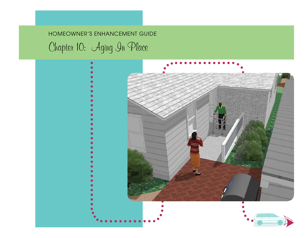# HOMEOWNER'S ENHANCEMENT GUIDE Chapter 10: Aging In Place

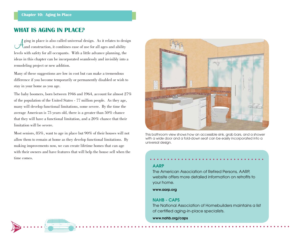# **WHAT IS AGING IN PLACE?**

**104**

 $\mu$  ging in place is also called universal design. As it relates to design and construction, it combines ease of use for all ages and ability levels with safety for all occupants. With a little advance planning, the ideas in this chapter can be incorporated seamlessly and invisibly into a remodeling project or new addition.

Many of these suggestions are low in cost but can make a tremendous difference if you become temporarily or permanently disabled or wish to stay in your home as you age.

The baby boomers, born between 1946 and 1964, account for almost 27% of the population of the United States - 77 million people. As they age, many will develop functional limitations, some severe. By the time the average American is 75 years old, there is a greater than 50% chance that they will have a functional limitation, and a 20% chance that their limitation will be severe.

Most seniors, 85%, want to age in place but 90% of their houses will not allow them to remain at home as they develop functional limitations. By making improvements now, we can create lifetime homes that can age with their owners and have features that will help the house sell when the time comes.



This bathroom view shows how an accessible sink, grab bars, and a shower with a wide door and a fold-down seat can be easily incorporated into a universal design.

#### **AARP**

The American Association of Retired Persons, AARP, website offers more detailed information on retrofits to your home.

**www.aarp.org**

#### **NAHB - CAPS**

The National Association of Homebuilders maintains a listof certified aging-in-place specialists.

**www.nahb.org/caps**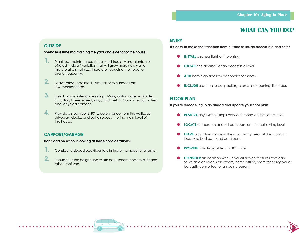# **WHAT CAN YOU DO?**

**105**

#### **OUTSIDE**

#### **Spend less time maintaining the yard and exterior of the house!**

- **1. Plant low-maintenance shrubs and trees. Many plants are** offered in dwarf varieties that will grow more slowly and mature at a small size, therefore, reducing the need to prune frequently.
- **2.** Leave brick unpainted. Natural brick surfaces are low-maintenance.
- **3.** Install low-maintenance siding. Many options are available including fiber-cement, vinyl, and metal. Compare warranties and recycled content.
- **4.** Provide a step-free, 2'10" wide entrance from the walkway, driveway, decks, and patio spaces into the main level of the house.

#### **CARPORT/GARAGE**

#### **Don't add on without looking at these considerations!**

- Consider a sloped pad/floor to eliminate the need for a ramp.
- **2.** Ensure that the height and width can accommodate a lift and raised roof van.

#### **ENTRY**

**It's easy to make the transition from outside to inside accessible and safe!**

- **INSTALL** a sensor light at the entry.
- ●**LOCATE** the doorbell at an accessible level.
- ●**ADD** both high and low peepholes for safety.
- $\bullet$ **INCLUDE** a bench to put packages on while opening the door.

#### **FLOOR PLAN**

If you're remodeling, plan ahead and update your floor plan!

- **REMOVE** any existing steps between rooms on the same level.
- **C** LOCATE a bedroom and full bathroom on the main living level.
- **LEAVE** a 5'0" turn space in the main living area, kitchen, and at least one bedroom and bathroom.
- ●**PROVIDE** a hallway at least 2'10" wide.
- **CONSIDER** an addition with universal design features that can serve as a children's playroom, home office, room for caregiver or be easily converted for an aging parent.

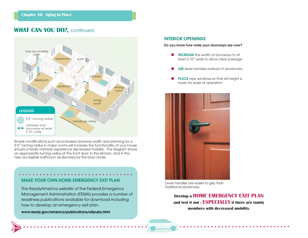# **WHAT CAN YOU DO?, continued**



Simple modifications such as increased doorway width and planning for a 5'0" turning radius in major rooms will increase the functionality of your house should a family member experience decreased mobility. This diagram shows an appropriate turning radius at the front door, in the kitchen, and in the new accessible bathroom as denoted by the blue circles.

# **MAKE YOUR OWN HOME EMERGENCY EXIT PLAN**

The ReadyAmerica website of the Federal Emergency Management Administration (FEMA) provides a number of readiness publications available for download including how to develop an emergency exit plan.

**www.ready.gov/america/publications/allpubs.html**

**106**

#### **INTERIOR OPENINGS**

#### **Do you know how wide your doorways are now?**

- **INCREASE** the width of doorways to at least 2'10" wide to allow clear passage.
- ●**USE** lever handles instead of doorknobs.
- ●**PLACE** new windows so that sill height is lower for ease of operation.



Lever handles are easier to grip than traditional doorknobs.

**Develop a HOME EMERGENCY EXIT PLAN and test it out - ESPECIALLY if there are family members with decreased mobility.**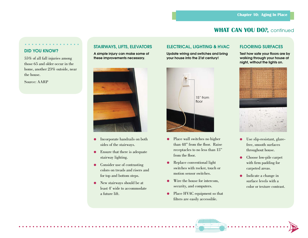# **WHAT CAN YOU DO?, continued**

#### **DID YOU KNOW?**

55% of all fall injuries among those 65 and older occur in the home, another 23% outside, near the house.

Source: AARP

**A simple injury can make some of these improvements necessary.**



- $\bullet$  Incorporate handrails on both sides of the stairways.
- Ensure that there is adequate stairway lighting.
- Consider use of contrasting colors on treads and risers andfor top and bottom steps.
- ● New stairways should be at least 4' wide to accommodate a future lift.

## **STAIRWAYS, LIFTS, ELEVATORS ELECTRICAL, LIGHTING & HVAC FLOORING SURFACES**

**Update wiring and switches and bring your house into the 21st century!** 



- ● Place wall switches no higher than 48" from the floor. Raise receptacles to no less than 15" from the floor.
- ● Replace conventional light switches with rocker, touch or motion sensor switches.
- ● Wire the house for intercom, security, and computers.
- Place HVAC equipment so that filters are easily accessible.

Test how safe your floors are by **walking through your house at night, without the lights on.**



- $\bullet$  Use slip-resistant, glarefree, smooth surfaces throughout house.
- ● Choose low-pile carpet with firm padding for carpeted areas.
- ● Indicate a change in surface levels with a color or texture contrast.

**107**